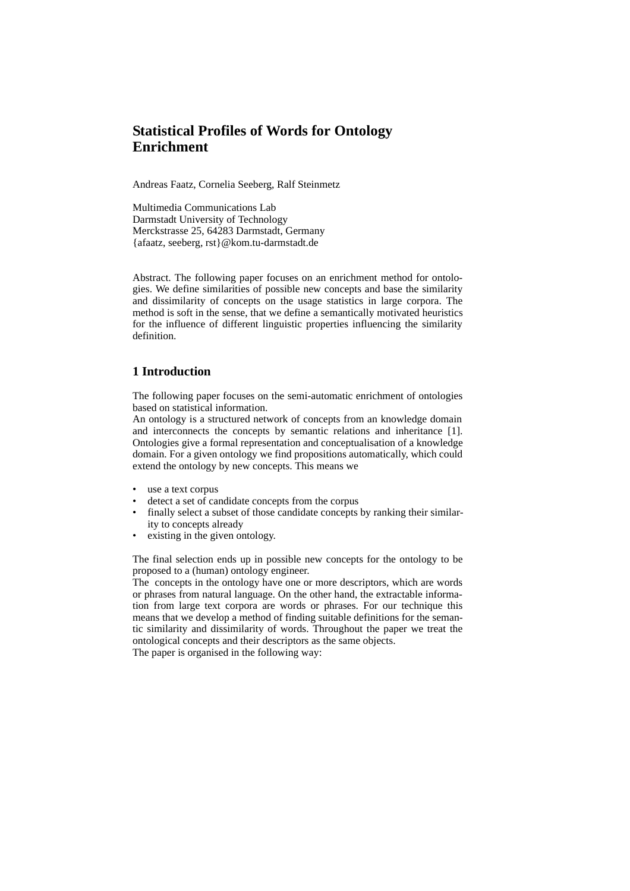# **Statistical Profiles of Words for Ontology Enrichment**

Andreas Faatz, Cornelia Seeberg, Ralf Steinmetz

Multimedia Communications Lab Darmstadt University of Technology Merckstrasse 25, 64283 Darmstadt, Germany {afaatz, seeberg, rst}@kom.tu-darmstadt.de

Abstract. The following paper focuses on an enrichment method for ontologies. We define similarities of possible new concepts and base the similarity and dissimilarity of concepts on the usage statistics in large corpora. The method is soft in the sense, that we define a semantically motivated heuristics for the influence of different linguistic properties influencing the similarity definition.

## **1 Introduction**

The following paper focuses on the semi-automatic enrichment of ontologies based on statistical information.

An ontology is a structured network of concepts from an knowledge domain and interconnects the concepts by semantic relations and inheritance [1]. Ontologies give a formal representation and conceptualisation of a knowledge domain. For a given ontology we find propositions automatically, which could extend the ontology by new concepts. This means we

- use a text corpus
- detect a set of candidate concepts from the corpus
- finally select a subset of those candidate concepts by ranking their similarity to concepts already
- existing in the given ontology.

The final selection ends up in possible new concepts for the ontology to be proposed to a (human) ontology engineer.

The concepts in the ontology have one or more descriptors, which are words or phrases from natural language. On the other hand, the extractable information from large text corpora are words or phrases. For our technique this means that we develop a method of finding suitable definitions for the semantic similarity and dissimilarity of words. Throughout the paper we treat the ontological concepts and their descriptors as the same objects. The paper is organised in the following way: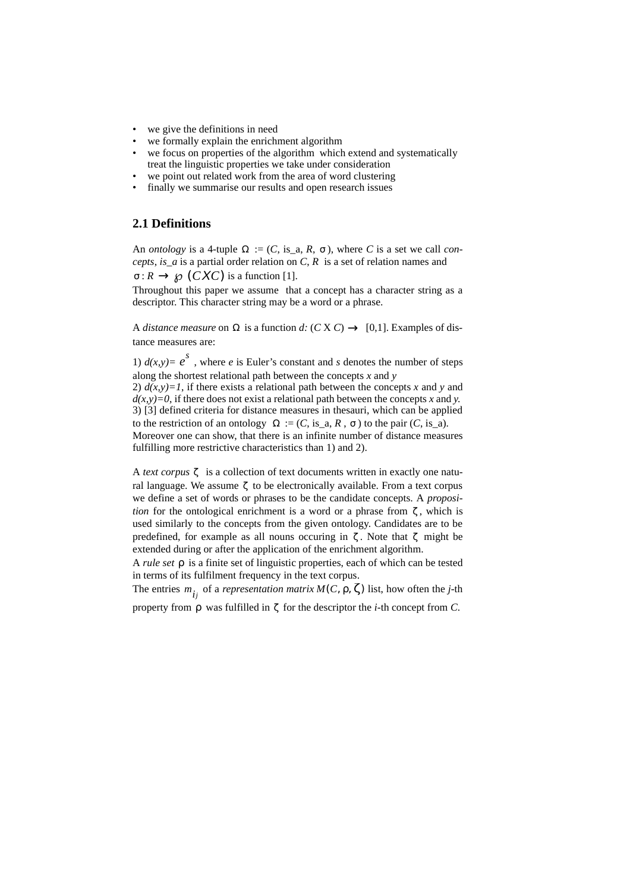- we give the definitions in need
- we formally explain the enrichment algorithm
- we focus on properties of the algorithm which extend and systematically treat the linguistic properties we take under consideration
- we point out related work from the area of word clustering
- finally we summarise our results and open research issues

# **2.1 Definitions**

An *ontology* is a 4-tuple  $\Omega := (C, \text{ is\_a}, R, \sigma)$ , where *C* is a set we call *concepts*, *is\_a* is a partial order relation on *C*, *R* is a set of relation names and

 $\sigma: R \to \mathcal{D}(CXC)$  is a function [1].

Throughout this paper we assume that a concept has a character string as a descriptor. This character string may be a word or a phrase.

A *distance measure* on  $\Omega$  is a function *d:*  $(C X C) \rightarrow [0,1]$ . Examples of distance measures are:

1)  $d(x,y) = e^s$ , where *e* is Euler's constant and *s* denotes the number of steps along the shortest relational path between the concepts *x* and *y* 2)  $d(x,y)=1$ , if there exists a relational path between the concepts x and y and *d(x,y)=0*, if there does not exist a relational path between the concepts *x* and *y*. 3) [3] defined criteria for distance measures in thesauri, which can be applied to the restriction of an ontology  $\Omega := (C, \text{ is}_a, R, \sigma)$  to the pair  $(C, \text{ is}_a)$ . Moreover one can show, that there is an infinite number of distance measures fulfilling more restrictive characteristics than 1) and 2).

A *text corpus*  $\zeta$  is a collection of text documents written in exactly one natural language. We assume  $\zeta$  to be electronically available. From a text corpus we define a set of words or phrases to be the candidate concepts*.* A *proposition* for the ontological enrichment is a word or a phrase from ζ, which is used similarly to the concepts from the given ontology. Candidates are to be predefined, for example as all nouns occuring in  $\zeta$ . Note that  $\zeta$  might be extended during or after the application of the enrichment algorithm.

A *rule set ρ* is a finite set of linguistic properties, each of which can be tested in terms of its fulfilment frequency in the text corpus.

The entries  $m_{\hat{i}j}$  of a *representation matrix*  $M(C, \rho, \zeta)$  list, how often the *j*-th property from  $\rho$  was fulfilled in  $\zeta$  for the descriptor the *i*-th concept from *C*.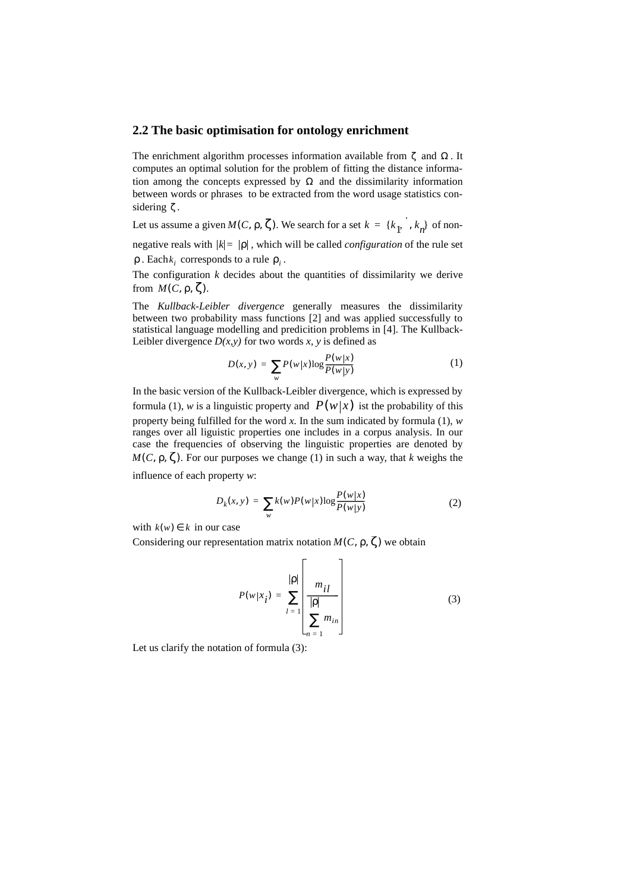#### **2.2 The basic optimisation for ontology enrichment**

The enrichment algorithm processes information available from  $\zeta$  and  $\Omega$ . It computes an optimal solution for the problem of fitting the distance information among the concepts expressed by  $\Omega$  and the dissimilarity information between words or phrases to be extracted from the word usage statistics considering  $\zeta$ .

Let us assume a given  $M(C, \rho, \zeta)$ . We search for a set  $k = \{k_1, \cdot, k_n\}$  of non-

negative reals with  $|k| = |ρ|$ , which will be called *configuration* of the rule set  $\rho$ . Each  $k_i$  corresponds to a rule  $\rho_i$ .

The configuration  $k$  decides about the quantities of dissimilarity we derive from  $M(C, \rho, \zeta)$ .

The *Kullback-Leibler divergence* generally measures the dissimilarity between two probability mass functions [2] and was applied successfully to statistical language modelling and predicition problems in [4]. The Kullback-Leibler divergence  $D(x, y)$  for two words  $x, y$  is defined as

$$
D(x, y) = \sum_{w} P(w|x) \log \frac{P(w|x)}{P(w|y)}
$$
(1)

In the basic version of the Kullback-Leibler divergence, which is expressed by formula (1), w is a linguistic property and  $P(w|x)$  ist the probability of this property being fulfilled for the word *x.* In the sum indicated by formula (1), *w* ranges over all liguistic properties one includes in a corpus analysis. In our case the frequencies of observing the linguistic properties are denoted by  $M(C, \rho, \zeta)$ . For our purposes we change (1) in such a way, that *k* weighs the

influence of each property *w*:

$$
D_{k}(x, y) = \sum_{w} k(w) P(w|x) \log \frac{P(w|x)}{P(w|y)}
$$
(2)

with  $k(w) \in k$  in our case

Considering our representation matrix notation  $M(C, \rho, \zeta)$  we obtain

$$
P(w|x_i) = \sum_{l=1}^{|p|} \left[\frac{m_{il}}{|p|}\right]
$$
\n(3)

Let us clarify the notation of formula (3):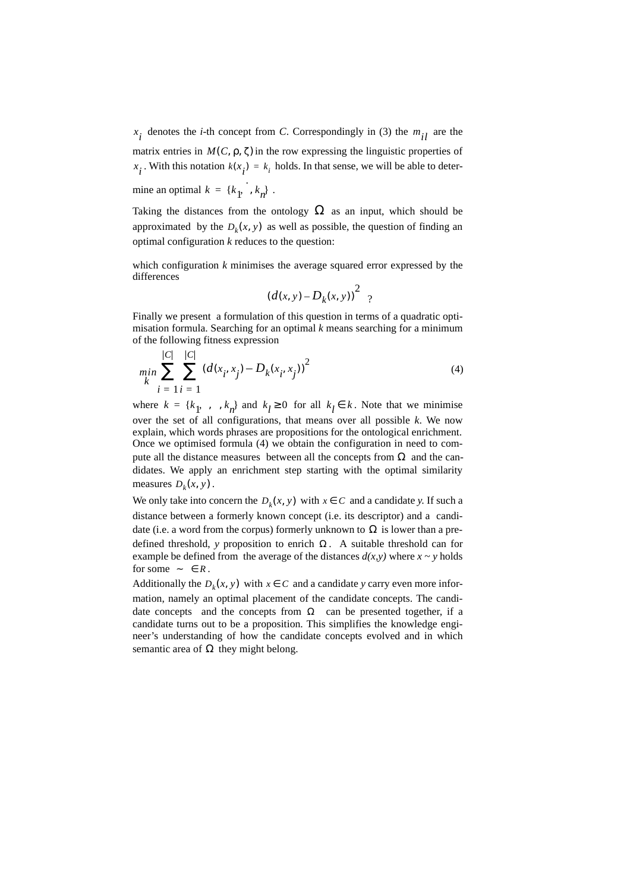$x_i$  denotes the *i*-th concept from *C*. Correspondingly in (3) the  $m_{il}$  are the

matrix entries in  $M(C, \rho, \zeta)$  in the row expressing the linguistic properties of *x*<sub>*i*</sub>. With this notation  $k(x_i) = k_i$  holds. In that sense, we will be able to determine an optimal  $k = \{k_1, \cdot, k_n\}$ .

Taking the distances from the ontology  $\Omega$  as an input, which should be approximated by the  $D_k(x, y)$  as well as possible, the question of finding an optimal configuration *k* reduces to the question:

which configuration *k* minimises the average squared error expressed by the differences

$$
(d(x, y) - D_k(x, y))^2
$$
 ?

Finally we present a formulation of this question in terms of a quadratic optimisation formula. Searching for an optimal *k* means searching for a minimum of the following fitness expression

$$
\min_{k} \sum_{i=1}^{|C|} \sum_{i=1}^{|C|} (d(x_i, x_j) - D_k(x_i, x_j))^2
$$
\n(4)

where  $k = \{k_1, \dots, k_n\}$  and  $k_l \ge 0$  for all  $k_l \in k$ . Note that we minimise over the set of all configurations, that means over all possible *k*. We now explain, which words phrases are propositions for the ontological enrichment. Once we optimised formula (4) we obtain the configuration in need to compute all the distance measures between all the concepts from  $\Omega$  and the candidates. We apply an enrichment step starting with the optimal similarity measures  $D_k(x, y)$ .

We only take into concern the  $D_k(x, y)$  with  $x \in C$  and a candidate *y*. If such a distance between a formerly known concept (i.e. its descriptor) and a candidate (i.e. a word from the corpus) formerly unknown to  $\Omega$  is lower than a predefined threshold, *y* proposition to enrich  $\Omega$ . A suitable threshold can for example be defined from the average of the distances  $d(x, y)$  where  $x \sim y$  holds for some  $\sim \in R$ .

Additionally the  $D_k(x, y)$  with  $x \in C$  and a candidate *y* carry even more information, namely an optimal placement of the candidate concepts. The candidate concepts and the concepts from  $\Omega$  can be presented together, if a candidate turns out to be a proposition. This simplifies the knowledge engineer's understanding of how the candidate concepts evolved and in which semantic area of  $\Omega$  they might belong.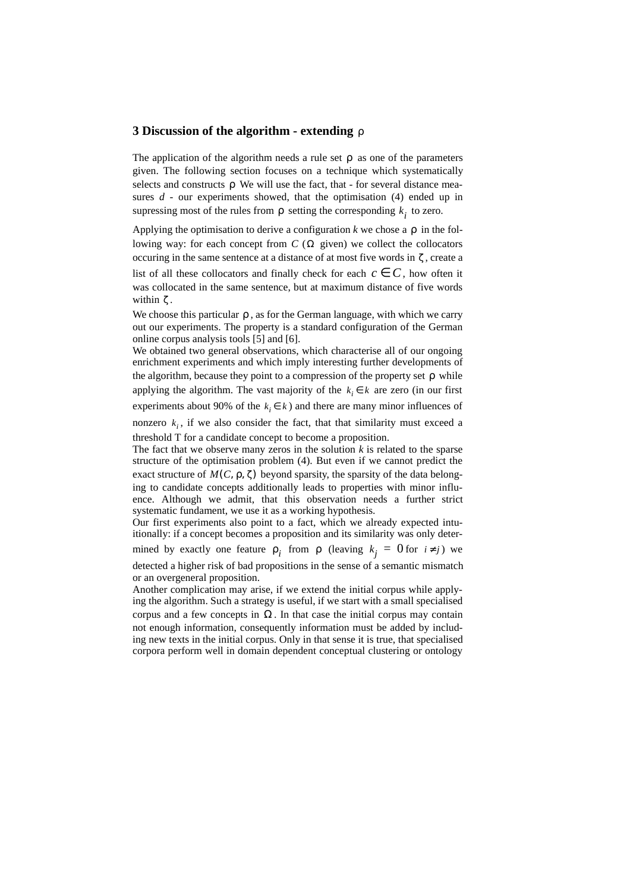### **3 Discussion of the algorithm - extending**  ρ

The application of the algorithm needs a rule set  $\rho$  as one of the parameters given. The following section focuses on a technique which systematically selects and constructs  $\rho$  We will use the fact, that - for several distance measures *d -* our experiments showed, that the optimisation (4) ended up in supressing most of the rules from  $\rho$  setting the corresponding  $k_i$  to zero.

Applying the optimisation to derive a configuration  $k$  we chose a  $\rho$  in the following way: for each concept from  $C(\Omega)$  given) we collect the collocators occuring in the same sentence at a distance of at most five words in  $\zeta$ , create a list of all these collocators and finally check for each  $c \in C$ , how often it was collocated in the same sentence, but at maximum distance of five words within  $\zeta$ .

We choose this particular  $\rho$ , as for the German language, with which we carry out our experiments. The property is a standard configuration of the German online corpus analysis tools [5] and [6].

We obtained two general observations, which characterise all of our ongoing enrichment experiments and which imply interesting further developments of the algorithm, because they point to a compression of the property set  $\rho$  while applying the algorithm. The vast majority of the  $k_i \in k$  are zero (in our first experiments about 90% of the  $k_i \in k$ ) and there are many minor influences of

nonzero  $k_i$ , if we also consider the fact, that that similarity must exceed a threshold T for a candidate concept to become a proposition.

The fact that we observe many zeros in the solution *k* is related to the sparse structure of the optimisation problem (4). But even if we cannot predict the exact structure of  $M(C, \rho, \zeta)$  beyond sparsity, the sparsity of the data belonging to candidate concepts additionally leads to properties with minor influence. Although we admit, that this observation needs a further strict systematic fundament, we use it as a working hypothesis.

Our first experiments also point to a fact, which we already expected intuitionally: if a concept becomes a proposition and its similarity was only determined by exactly one feature  $\rho_i$  from  $\rho$  (leaving  $k_j = 0$  for  $i \neq j$ ) we

detected a higher risk of bad propositions in the sense of a semantic mismatch or an overgeneral proposition.

Another complication may arise, if we extend the initial corpus while applying the algorithm. Such a strategy is useful, if we start with a small specialised corpus and a few concepts in  $\Omega$ . In that case the initial corpus may contain not enough information, consequently information must be added by including new texts in the initial corpus. Only in that sense it is true, that specialised corpora perform well in domain dependent conceptual clustering or ontology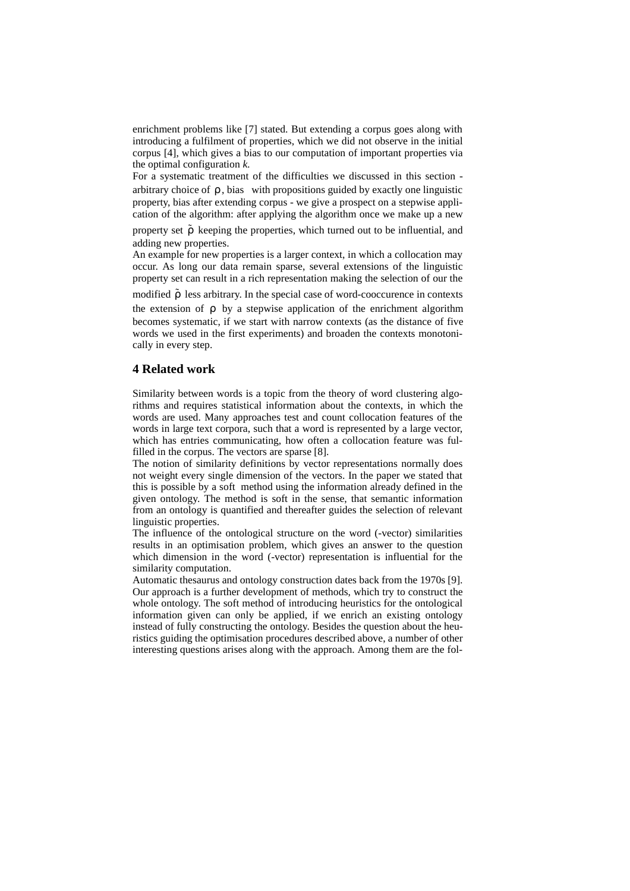enrichment problems like [7] stated. But extending a corpus goes along with introducing a fulfilment of properties, which we did not observe in the initial corpus [4], which gives a bias to our computation of important properties via the optimal configuration *k.*

For a systematic treatment of the difficulties we discussed in this section arbitrary choice of  $\rho$ , bias with propositions guided by exactly one linguistic property, bias after extending corpus - we give a prospect on a stepwise application of the algorithm: after applying the algorithm once we make up a new

property set  $\tilde{\rho}$  keeping the properties, which turned out to be influential, and adding new properties.

An example for new properties is a larger context, in which a collocation may occur. As long our data remain sparse, several extensions of the linguistic property set can result in a rich representation making the selection of our the

modified  $\tilde{\rho}$  less arbitrary. In the special case of word-cooccurence in contexts

the extension of  $\rho$  by a stepwise application of the enrichment algorithm becomes systematic, if we start with narrow contexts (as the distance of five words we used in the first experiments) and broaden the contexts monotonically in every step.

#### **4 Related work**

Similarity between words is a topic from the theory of word clustering algorithms and requires statistical information about the contexts, in which the words are used. Many approaches test and count collocation features of the words in large text corpora, such that a word is represented by a large vector, which has entries communicating, how often a collocation feature was fulfilled in the corpus. The vectors are sparse [8].

The notion of similarity definitions by vector representations normally does not weight every single dimension of the vectors. In the paper we stated that this is possible by a soft method using the information already defined in the given ontology. The method is soft in the sense, that semantic information from an ontology is quantified and thereafter guides the selection of relevant linguistic properties.

The influence of the ontological structure on the word (-vector) similarities results in an optimisation problem, which gives an answer to the question which dimension in the word (-vector) representation is influential for the similarity computation.

Automatic thesaurus and ontology construction dates back from the 1970s [9]. Our approach is a further development of methods, which try to construct the whole ontology. The soft method of introducing heuristics for the ontological information given can only be applied, if we enrich an existing ontology instead of fully constructing the ontology. Besides the question about the heuristics guiding the optimisation procedures described above, a number of other interesting questions arises along with the approach. Among them are the fol